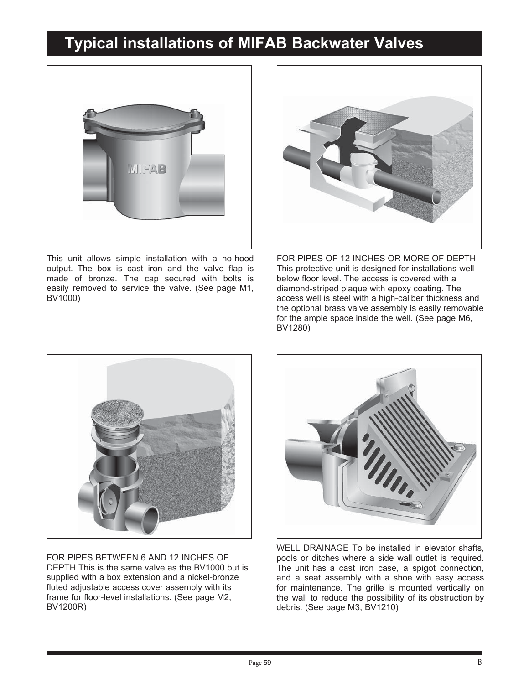## **Typical installations of MIFAB Backwater Valves**



This unit allows simple installation with a no-hood output. The box is cast iron and the valve flap is made of bronze. The cap secured with bolts is easily removed to service the valve. (See page M1, BV1000)



FOR PIPES OF 12 INCHES OR MORE OF DEPTH This protective unit is designed for installations well below floor level. The access is covered with a diamond-striped plaque with epoxy coating. The access well is steel with a high-caliber thickness and the optional brass valve assembly is easily removable for the ample space inside the well. (See page M6, BV1280)



FOR PIPES BETWEEN 6 AND 12 INCHES OF DEPTH This is the same valve as the BV1000 but is supplied with a box extension and a nickel-bronze fluted adjustable access cover assembly with its frame for floor-level installations. (See page M2, BV1200R)



WELL DRAINAGE To be installed in elevator shafts, pools or ditches where a side wall outlet is required. The unit has a cast iron case, a spigot connection, and a seat assembly with a shoe with easy access for maintenance. The grille is mounted vertically on the wall to reduce the possibility of its obstruction by debris. (See page M3, BV1210)